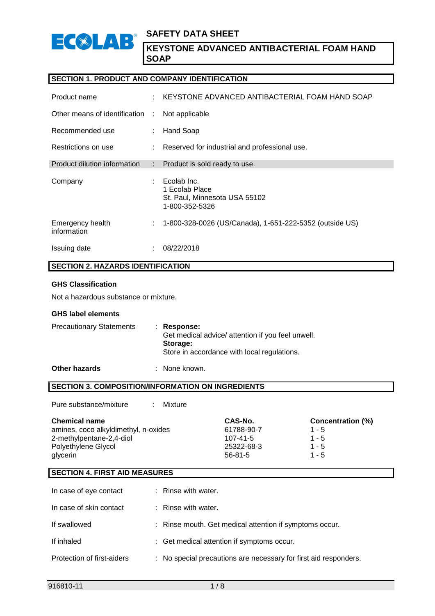

## **SECTION 1. PRODUCT AND COMPANY IDENTIFICATION**

| Product name                    | ÷  | KEYSTONE ADVANCED ANTIBACTERIAL FOAM HAND SOAP                                   |
|---------------------------------|----|----------------------------------------------------------------------------------|
| Other means of identification   | ÷  | Not applicable                                                                   |
| Recommended use                 | ÷. | Hand Soap                                                                        |
| Restrictions on use             | ÷  | Reserved for industrial and professional use.                                    |
| Product dilution information    |    | : Product is sold ready to use.                                                  |
| Company                         |    | Ecolab Inc.<br>1 Ecolab Place<br>St. Paul, Minnesota USA 55102<br>1-800-352-5326 |
| Emergency health<br>information |    | 1-800-328-0026 (US/Canada), 1-651-222-5352 (outside US)                          |
| Issuing date                    | ٠  | 08/22/2018                                                                       |

## **SECTION 2. HAZARDS IDENTIFICATION**

## **GHS Classification**

Not a hazardous substance or mixture.

#### **GHS label elements**

| <b>Precautionary Statements</b> | : Response:<br>Get medical advice/ attention if you feel unwell.<br>Storage: |
|---------------------------------|------------------------------------------------------------------------------|
|                                 | Store in accordance with local regulations.                                  |

**Other hazards** : None known.

## **SECTION 3. COMPOSITION/INFORMATION ON INGREDIENTS**

Pure substance/mixture : Mixture

| <b>Chemical name</b>                 | CAS-No.       | <b>Concentration (%)</b> |
|--------------------------------------|---------------|--------------------------|
| amines, coco alkyldimethyl, n-oxides | 61788-90-7    | $1 - 5$                  |
| 2-methylpentane-2,4-diol             | 107-41-5      | $1 - 5$                  |
| Polyethylene Glycol                  | 25322-68-3    | $1 - 5$                  |
| glycerin                             | $56 - 81 - 5$ | $1 - 5$                  |

## **SECTION 4. FIRST AID MEASURES**

| In case of eye contact     | : Rinse with water.                                              |
|----------------------------|------------------------------------------------------------------|
| In case of skin contact    | $:$ Rinse with water.                                            |
| If swallowed               | : Rinse mouth. Get medical attention if symptoms occur.          |
| If inhaled                 | : Get medical attention if symptoms occur.                       |
| Protection of first-aiders | : No special precautions are necessary for first aid responders. |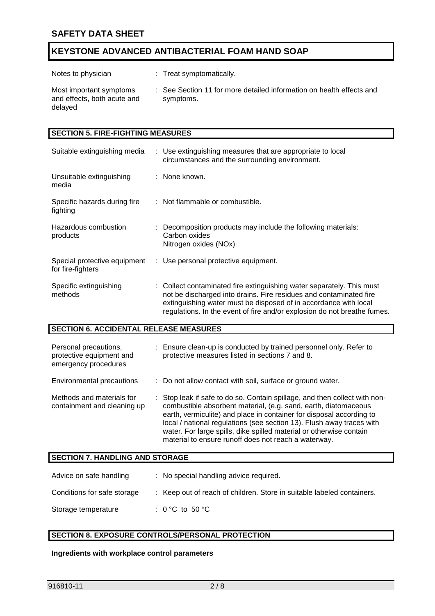| Notes to physician                                                | : Treat symptomatically.                                                          |
|-------------------------------------------------------------------|-----------------------------------------------------------------------------------|
| Most important symptoms<br>and effects, both acute and<br>delayed | : See Section 11 for more detailed information on health effects and<br>symptoms. |

| <b>SECTION 5. FIRE-FIGHTING MEASURES</b>          |  |                                                                                                                                                                                                                                                                                             |  |  |
|---------------------------------------------------|--|---------------------------------------------------------------------------------------------------------------------------------------------------------------------------------------------------------------------------------------------------------------------------------------------|--|--|
| Suitable extinguishing media                      |  | : Use extinguishing measures that are appropriate to local<br>circumstances and the surrounding environment.                                                                                                                                                                                |  |  |
| Unsuitable extinguishing<br>media                 |  | : None known.                                                                                                                                                                                                                                                                               |  |  |
| Specific hazards during fire<br>fighting          |  | : Not flammable or combustible.                                                                                                                                                                                                                                                             |  |  |
| Hazardous combustion<br>products                  |  | : Decomposition products may include the following materials:<br>Carbon oxides<br>Nitrogen oxides (NOx)                                                                                                                                                                                     |  |  |
| Special protective equipment<br>for fire-fighters |  | : Use personal protective equipment.                                                                                                                                                                                                                                                        |  |  |
| Specific extinguishing<br>methods                 |  | : Collect contaminated fire extinguishing water separately. This must<br>not be discharged into drains. Fire residues and contaminated fire<br>extinguishing water must be disposed of in accordance with local<br>regulations. In the event of fire and/or explosion do not breathe fumes. |  |  |

## **SECTION 6. ACCIDENTAL RELEASE MEASURES**

| Personal precautions,<br>protective equipment and<br>emergency procedures | : Ensure clean-up is conducted by trained personnel only. Refer to<br>protective measures listed in sections 7 and 8.                                                                                                                                                                                                                                                                                                         |
|---------------------------------------------------------------------------|-------------------------------------------------------------------------------------------------------------------------------------------------------------------------------------------------------------------------------------------------------------------------------------------------------------------------------------------------------------------------------------------------------------------------------|
| Environmental precautions                                                 | : Do not allow contact with soil, surface or ground water.                                                                                                                                                                                                                                                                                                                                                                    |
| Methods and materials for<br>containment and cleaning up                  | : Stop leak if safe to do so. Contain spillage, and then collect with non-<br>combustible absorbent material, (e.g. sand, earth, diatomaceous<br>earth, vermiculite) and place in container for disposal according to<br>local / national regulations (see section 13). Flush away traces with<br>water. For large spills, dike spilled material or otherwise contain<br>material to ensure runoff does not reach a waterway. |

## **SECTION 7. HANDLING AND STORAGE**

| Advice on safe handling     | : No special handling advice required.                                 |
|-----------------------------|------------------------------------------------------------------------|
| Conditions for safe storage | : Keep out of reach of children. Store in suitable labeled containers. |
| Storage temperature         | : 0 °C to 50 °C                                                        |

# **SECTION 8. EXPOSURE CONTROLS/PERSONAL PROTECTION**

#### **Ingredients with workplace control parameters**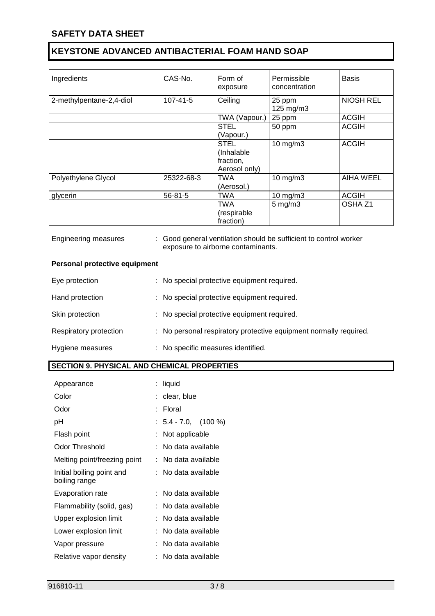| Ingredients              | CAS-No.        | Form of       | Permissible   | <b>Basis</b>       |
|--------------------------|----------------|---------------|---------------|--------------------|
|                          |                | exposure      | concentration |                    |
|                          |                |               |               |                    |
| 2-methylpentane-2,4-diol | $107 - 41 - 5$ | Ceiling       | 25 ppm        | <b>NIOSH REL</b>   |
|                          |                |               | 125 mg/m3     |                    |
|                          |                | TWA (Vapour.) | 25 ppm        | <b>ACGIH</b>       |
|                          |                | <b>STEL</b>   | 50 ppm        | <b>ACGIH</b>       |
|                          |                | (Vapour.)     |               |                    |
|                          |                | <b>STEL</b>   | $10$ mg/m $3$ | <b>ACGIH</b>       |
|                          |                | (Inhalable    |               |                    |
|                          |                | fraction,     |               |                    |
|                          |                | Aerosol only) |               |                    |
| Polyethylene Glycol      | 25322-68-3     | TWA           | $10$ mg/m $3$ | <b>AIHA WEEL</b>   |
|                          |                | (Aerosol.)    |               |                    |
| glycerin                 | $56 - 81 - 5$  | <b>TWA</b>    | 10 mg/m3      | <b>ACGIH</b>       |
|                          |                | <b>TWA</b>    | $5$ mg/m $3$  | OSHA <sub>Z1</sub> |
|                          |                | (respirable   |               |                    |
|                          |                | fraction)     |               |                    |

| Engineering measures                               | : Good general ventilation should be sufficient to control worker<br>exposure to airborne contaminants. |
|----------------------------------------------------|---------------------------------------------------------------------------------------------------------|
| Personal protective equipment                      |                                                                                                         |
| Eye protection                                     | : No special protective equipment required.                                                             |
| Hand protection                                    | : No special protective equipment required.                                                             |
| Skin protection                                    | : No special protective equipment required.                                                             |
| Respiratory protection                             | : No personal respiratory protective equipment normally required.                                       |
| Hygiene measures                                   | : No specific measures identified.                                                                      |
| <b>SECTION 9. PHYSICAL AND CHEMICAL PROPERTIES</b> |                                                                                                         |

|    | liquid |                                                                                                                                                                                                                                                         |
|----|--------|---------------------------------------------------------------------------------------------------------------------------------------------------------------------------------------------------------------------------------------------------------|
|    |        |                                                                                                                                                                                                                                                         |
|    | Floral |                                                                                                                                                                                                                                                         |
|    |        |                                                                                                                                                                                                                                                         |
|    |        |                                                                                                                                                                                                                                                         |
|    |        |                                                                                                                                                                                                                                                         |
| t. |        |                                                                                                                                                                                                                                                         |
|    |        |                                                                                                                                                                                                                                                         |
|    |        |                                                                                                                                                                                                                                                         |
|    |        |                                                                                                                                                                                                                                                         |
|    |        |                                                                                                                                                                                                                                                         |
|    |        |                                                                                                                                                                                                                                                         |
|    |        |                                                                                                                                                                                                                                                         |
|    |        |                                                                                                                                                                                                                                                         |
|    |        | clear, blue<br>$: 5.4 - 7.0, (100%)$<br>Not applicable<br>No data available<br>No data available<br>:   No data available<br>No data available<br>No data available<br>No data available<br>No data available<br>No data available<br>No data available |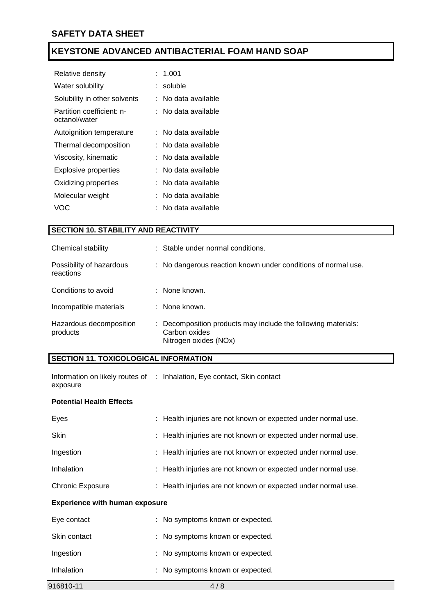| Relative density                           | : 1.001               |
|--------------------------------------------|-----------------------|
| Water solubility                           | : soluble             |
| Solubility in other solvents               | : No data available   |
| Partition coefficient: n-<br>octanol/water | : No data available   |
| Autoignition temperature                   | : No data available   |
| Thermal decomposition                      | :   No data available |
| Viscosity, kinematic                       | : No data available   |
| Explosive properties                       | :   No data available |
| Oxidizing properties                       | :   No data available |
| Molecular weight                           | :   No data available |
| VOC                                        | No data available     |

# **SECTION 10. STABILITY AND REACTIVITY**

| Chemical stability                    | : Stable under normal conditions.                                                                       |
|---------------------------------------|---------------------------------------------------------------------------------------------------------|
| Possibility of hazardous<br>reactions | : No dangerous reaction known under conditions of normal use.                                           |
| Conditions to avoid                   | : None known.                                                                                           |
| Incompatible materials                | : None known.                                                                                           |
| Hazardous decomposition<br>products   | : Decomposition products may include the following materials:<br>Carbon oxides<br>Nitrogen oxides (NOx) |

## **SECTION 11. TOXICOLOGICAL INFORMATION**

|          | Information on likely routes of : Inhalation, Eye contact, Skin contact |
|----------|-------------------------------------------------------------------------|
| exposure |                                                                         |

## **Potential Health Effects**

| Eyes                    | : Health injuries are not known or expected under normal use. |
|-------------------------|---------------------------------------------------------------|
| <b>Skin</b>             | : Health injuries are not known or expected under normal use. |
| Ingestion               | : Health injuries are not known or expected under normal use. |
| Inhalation              | : Health injuries are not known or expected under normal use. |
| <b>Chronic Exposure</b> | : Health injuries are not known or expected under normal use. |

## **Experience with human exposure**

| Eye contact  | : No symptoms known or expected. |
|--------------|----------------------------------|
| Skin contact | : No symptoms known or expected. |
| Ingestion    | : No symptoms known or expected. |
| Inhalation   | : No symptoms known or expected. |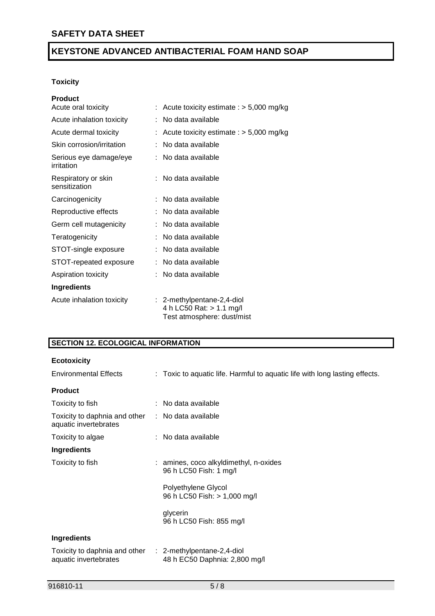## **Toxicity**

| <b>Product</b>                       |                                                                                      |
|--------------------------------------|--------------------------------------------------------------------------------------|
| Acute oral toxicity                  | Acute toxicity estimate : $> 5,000$ mg/kg                                            |
| Acute inhalation toxicity            | No data available                                                                    |
| Acute dermal toxicity                | Acute toxicity estimate : $> 5,000$ mg/kg                                            |
| Skin corrosion/irritation            | No data available                                                                    |
| Serious eye damage/eye<br>irritation | No data available                                                                    |
| Respiratory or skin<br>sensitization | No data available                                                                    |
| Carcinogenicity                      | No data available                                                                    |
| Reproductive effects                 | No data available                                                                    |
| Germ cell mutagenicity               | No data available                                                                    |
| Teratogenicity                       | No data available                                                                    |
| STOT-single exposure                 | No data available                                                                    |
| STOT-repeated exposure               | No data available                                                                    |
| Aspiration toxicity                  | No data available                                                                    |
| <b>Ingredients</b>                   |                                                                                      |
| Acute inhalation toxicity            | : 2-methylpentane-2,4-diol<br>4 h LC50 Rat: > 1.1 mg/l<br>Test atmosphere: dust/mist |

# **SECTION 12. ECOLOGICAL INFORMATION**

| <b>Ecotoxicity</b>                                                                |                                                                             |
|-----------------------------------------------------------------------------------|-----------------------------------------------------------------------------|
| <b>Environmental Effects</b>                                                      | : Toxic to aquatic life. Harmful to aquatic life with long lasting effects. |
| <b>Product</b>                                                                    |                                                                             |
| Toxicity to fish                                                                  | $\therefore$ No data available                                              |
| Toxicity to daphnia and other : No data available<br>aquatic invertebrates        |                                                                             |
| Toxicity to algae                                                                 | : No data available                                                         |
| Ingredients                                                                       |                                                                             |
| Toxicity to fish                                                                  | : amines, coco alkyldimethyl, n-oxides<br>96 h LC50 Fish: 1 mg/l            |
|                                                                                   | Polyethylene Glycol<br>96 h LC50 Fish: > 1,000 mg/l                         |
|                                                                                   | glycerin<br>96 h LC50 Fish: 855 mg/l                                        |
| Ingredients                                                                       |                                                                             |
| Toxicity to daphnia and other : 2-methylpentane-2,4-diol<br>aquatic invertebrates | 48 h EC50 Daphnia: 2,800 mg/l                                               |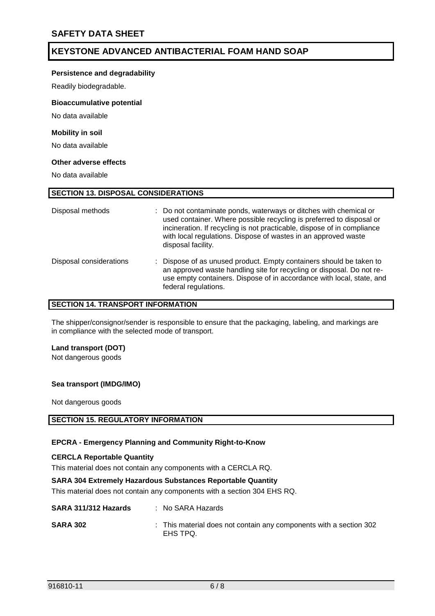#### **Persistence and degradability**

Readily biodegradable.

#### **Bioaccumulative potential**

No data available

#### **Mobility in soil**

No data available

#### **Other adverse effects**

No data available

## **SECTION 13. DISPOSAL CONSIDERATIONS**

| Disposal methods        | : Do not contaminate ponds, waterways or ditches with chemical or<br>used container. Where possible recycling is preferred to disposal or<br>incineration. If recycling is not practicable, dispose of in compliance<br>with local regulations. Dispose of wastes in an approved waste<br>disposal facility. |
|-------------------------|--------------------------------------------------------------------------------------------------------------------------------------------------------------------------------------------------------------------------------------------------------------------------------------------------------------|
| Disposal considerations | : Dispose of as unused product. Empty containers should be taken to<br>an approved waste handling site for recycling or disposal. Do not re-<br>use empty containers. Dispose of in accordance with local, state, and<br>federal regulations.                                                                |

## **SECTION 14. TRANSPORT INFORMATION**

The shipper/consignor/sender is responsible to ensure that the packaging, labeling, and markings are in compliance with the selected mode of transport.

#### **Land transport (DOT)**

Not dangerous goods

#### **Sea transport (IMDG/IMO)**

Not dangerous goods

## **SECTION 15. REGULATORY INFORMATION**

#### **EPCRA - Emergency Planning and Community Right-to-Know**

#### **CERCLA Reportable Quantity**

This material does not contain any components with a CERCLA RQ.

#### **SARA 304 Extremely Hazardous Substances Reportable Quantity**

This material does not contain any components with a section 304 EHS RQ.

# **SARA 311/312 Hazards** : No SARA Hazards **SARA 302** : This material does not contain any components with a section 302 EHS TPQ.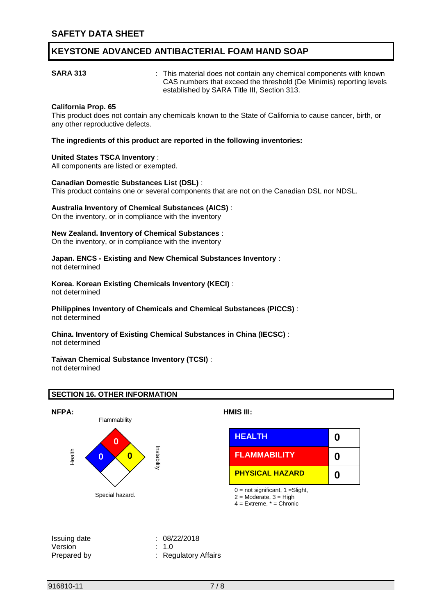**SARA 313** : This material does not contain any chemical components with known CAS numbers that exceed the threshold (De Minimis) reporting levels established by SARA Title III, Section 313.

### **California Prop. 65**

This product does not contain any chemicals known to the State of California to cause cancer, birth, or any other reproductive defects.

**The ingredients of this product are reported in the following inventories:**

#### **United States TSCA Inventory** :

All components are listed or exempted.

#### **Canadian Domestic Substances List (DSL)** :

This product contains one or several components that are not on the Canadian DSL nor NDSL.

#### **Australia Inventory of Chemical Substances (AICS)** :

On the inventory, or in compliance with the inventory

#### **New Zealand. Inventory of Chemical Substances** :

On the inventory, or in compliance with the inventory

#### **Japan. ENCS - Existing and New Chemical Substances Inventory** : not determined

# **Korea. Korean Existing Chemicals Inventory (KECI)** :

not determined

**Philippines Inventory of Chemicals and Chemical Substances (PICCS)** : not determined

#### **China. Inventory of Existing Chemical Substances in China (IECSC)** : not determined

#### **Taiwan Chemical Substance Inventory (TCSI)** : not determined

#### **SECTION 16. OTHER INFORMATION**